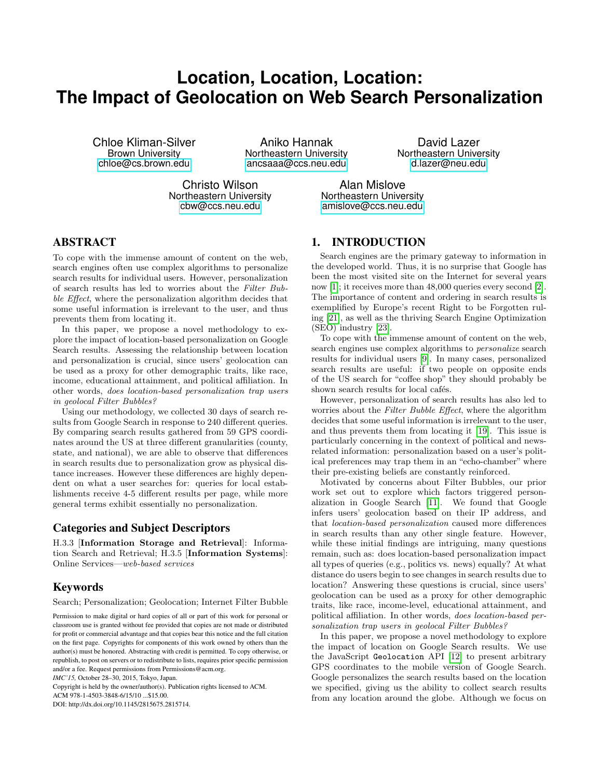# **Location, Location, Location: The Impact of Geolocation on Web Search Personalization**

Chloe Kliman-Silver Aniko Hannak David Lazer

[chloe@cs.brown.edu](mailto:chloe@cs.brown.edu) [ancsaaa@ccs.neu.edu](mailto:ancsaaa@ccs.neu.edu) [d.lazer@neu.edu](mailto:d.lazer@neu.edu)

**Northeastern University** 

Christo Wilson **Alan Mislove**<br>Northeastern University **Alan Missues** Northeastern Unive

ortheastern University<br>
cbw@ccs.neu.edu endislove@ccs.neu.edu amislove@ccs.neu.edu

# ABSTRACT

To cope with the immense amount of content on the web, search engines often use complex algorithms to personalize search results for individual users. However, personalization of search results has led to worries about the Filter Bubble Effect, where the personalization algorithm decides that some useful information is irrelevant to the user, and thus prevents them from locating it.

In this paper, we propose a novel methodology to explore the impact of location-based personalization on Google Search results. Assessing the relationship between location and personalization is crucial, since users' geolocation can be used as a proxy for other demographic traits, like race, income, educational attainment, and political affiliation. In other words, does location-based personalization trap users in geolocal Filter Bubbles?

Using our methodology, we collected 30 days of search results from Google Search in response to 240 different queries. By comparing search results gathered from 59 GPS coordinates around the US at three different granularities (county, state, and national), we are able to observe that differences in search results due to personalization grow as physical distance increases. However these differences are highly dependent on what a user searches for: queries for local establishments receive 4-5 different results per page, while more general terms exhibit essentially no personalization.

#### Categories and Subject Descriptors

H.3.3 [Information Storage and Retrieval]: Information Search and Retrieval; H.3.5 [Information Systems]: Online Services—web-based services

## Keywords

Search; Personalization; Geolocation; Internet Filter Bubble

Permission to make digital or hard copies of all or part of this work for personal or classroom use is granted without fee provided that copies are not made or distributed for profit or commercial advantage and that copies bear this notice and the full citation on the first page. Copyrights for components of this work owned by others than the author(s) must be honored. Abstracting with credit is permitted. To copy otherwise, or republish, to post on servers or to redistribute to lists, requires prior specific permission and/or a fee. Request permissions from Permissions@acm.org.

*IMC'15,* October 28–30, 2015, Tokyo, Japan.

Copyright is held by the owner/author(s). Publication rights licensed to ACM. ACM 978-1-4503-3848-6/15/10 ...\$15.00.

DOI: http://dx.doi.org/10.1145/2815675.2815714.

# 1. INTRODUCTION

Search engines are the primary gateway to information in the developed world. Thus, it is no surprise that Google has been the most visited site on the Internet for several years now [\[1\]](#page-6-0); it receives more than 48,000 queries every second [\[2\]](#page-6-1). The importance of content and ordering in search results is exemplified by Europe's recent Right to be Forgotten ruling [\[21\]](#page-6-2), as well as the thriving Search Engine Optimization (SEO) industry [\[23\]](#page-6-3).

To cope with the immense amount of content on the web, search engines use complex algorithms to personalize search results for individual users [\[9\]](#page-6-4). In many cases, personalized search results are useful: if two people on opposite ends of the US search for "coffee shop" they should probably be shown search results for local cafés.

However, personalization of search results has also led to worries about the Filter Bubble Effect, where the algorithm decides that some useful information is irrelevant to the user, and thus prevents them from locating it [\[19\]](#page-6-5). This issue is particularly concerning in the context of political and newsrelated information: personalization based on a user's political preferences may trap them in an "echo-chamber" where their pre-existing beliefs are constantly reinforced.

Motivated by concerns about Filter Bubbles, our prior work set out to explore which factors triggered personalization in Google Search [\[11\]](#page-6-6). We found that Google infers users' geolocation based on their IP address, and that location-based personalization caused more differences in search results than any other single feature. However, while these initial findings are intriguing, many questions remain, such as: does location-based personalization impact all types of queries (e.g., politics vs. news) equally? At what distance do users begin to see changes in search results due to location? Answering these questions is crucial, since users' geolocation can be used as a proxy for other demographic traits, like race, income-level, educational attainment, and political affiliation. In other words, does location-based personalization trap users in geolocal Filter Bubbles?

In this paper, we propose a novel methodology to explore the impact of location on Google Search results. We use the JavaScript Geolocation API [\[12\]](#page-6-7) to present arbitrary GPS coordinates to the mobile version of Google Search. Google personalizes the search results based on the location we specified, giving us the ability to collect search results from any location around the globe. Although we focus on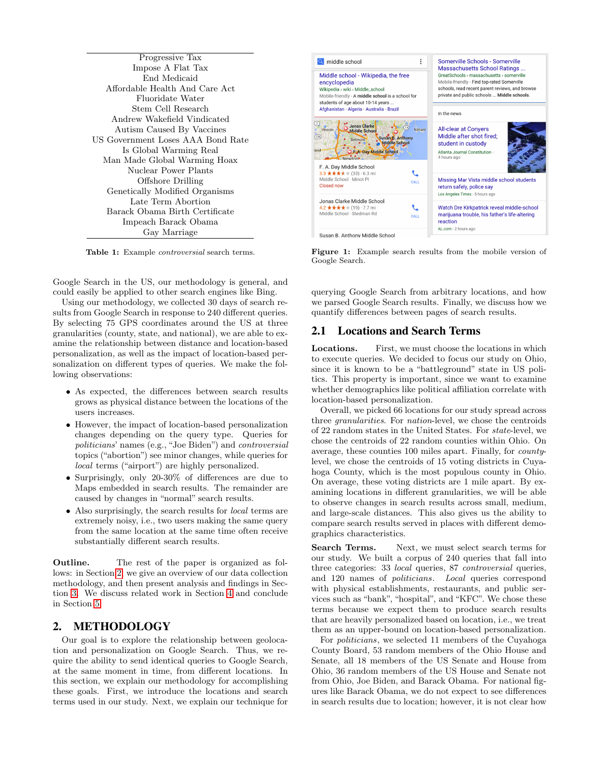<span id="page-1-1"></span>

Table 1: Example controversial search terms.

Google Search in the US, our methodology is general, and could easily be applied to other search engines like Bing.

Using our methodology, we collected 30 days of search results from Google Search in response to 240 different queries. By selecting 75 GPS coordinates around the US at three granularities (county, state, and national), we are able to examine the relationship between distance and location-based personalization, as well as the impact of location-based personalization on different types of queries. We make the following observations:

- As expected, the differences between search results grows as physical distance between the locations of the users increases.
- However, the impact of location-based personalization changes depending on the query type. Queries for politicians' names (e.g., "Joe Biden") and controversial topics ("abortion") see minor changes, while queries for local terms ("airport") are highly personalized.
- Surprisingly, only 20-30% of differences are due to Maps embedded in search results. The remainder are caused by changes in "normal" search results.
- Also surprisingly, the search results for *local* terms are extremely noisy, i.e., two users making the same query from the same location at the same time often receive substantially different search results.

Outline. The rest of the paper is organized as follows: in Section [2,](#page-1-0) we give an overview of our data collection methodology, and then present analysis and findings in Section [3.](#page-3-0) We discuss related work in Section [4](#page-5-0) and conclude in Section [5.](#page-5-1)

# <span id="page-1-0"></span>2. METHODOLOGY

Our goal is to explore the relationship between geolocation and personalization on Google Search. Thus, we require the ability to send identical queries to Google Search, at the same moment in time, from different locations. In this section, we explain our methodology for accomplishing these goals. First, we introduce the locations and search terms used in our study. Next, we explain our technique for

<span id="page-1-2"></span>

Figure 1: Example search results from the mobile version of Google Search.

querying Google Search from arbitrary locations, and how we parsed Google Search results. Finally, we discuss how we quantify differences between pages of search results.

## 2.1 Locations and Search Terms

Locations. First, we must choose the locations in which to execute queries. We decided to focus our study on Ohio, since it is known to be a "battleground" state in US politics. This property is important, since we want to examine whether demographics like political affiliation correlate with location-based personalization.

Overall, we picked 66 locations for our study spread across three granularities. For nation-level, we chose the centroids of 22 random states in the United States. For state-level, we chose the centroids of 22 random counties within Ohio. On average, these counties 100 miles apart. Finally, for countylevel, we chose the centroids of 15 voting districts in Cuyahoga County, which is the most populous county in Ohio. On average, these voting districts are 1 mile apart. By examining locations in different granularities, we will be able to observe changes in search results across small, medium, and large-scale distances. This also gives us the ability to compare search results served in places with different demographics characteristics.

Search Terms. Next, we must select search terms for our study. We built a corpus of 240 queries that fall into three categories: 33 local queries, 87 controversial queries, and 120 names of politicians. Local queries correspond with physical establishments, restaurants, and public services such as "bank", "hospital", and "KFC". We chose these terms because we expect them to produce search results that are heavily personalized based on location, i.e., we treat them as an upper-bound on location-based personalization.

For politicians, we selected 11 members of the Cuyahoga County Board, 53 random members of the Ohio House and Senate, all 18 members of the US Senate and House from Ohio, 36 random members of the US House and Senate not from Ohio, Joe Biden, and Barack Obama. For national figures like Barack Obama, we do not expect to see differences in search results due to location; however, it is not clear how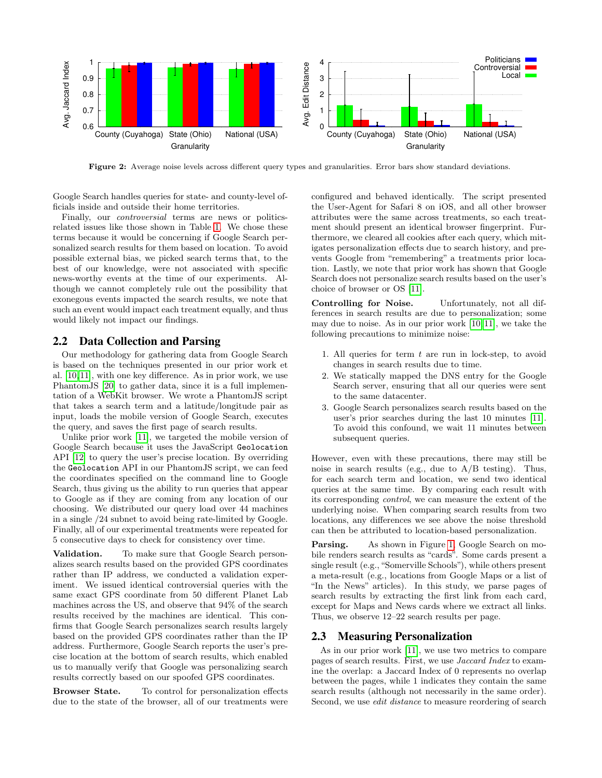<span id="page-2-0"></span>

Figure 2: Average noise levels across different query types and granularities. Error bars show standard deviations.

Google Search handles queries for state- and county-level officials inside and outside their home territories.

Finally, our controversial terms are news or politicsrelated issues like those shown in Table [1.](#page-1-1) We chose these terms because it would be concerning if Google Search personalized search results for them based on location. To avoid possible external bias, we picked search terms that, to the best of our knowledge, were not associated with specific news-worthy events at the time of our experiments. Although we cannot completely rule out the possibility that exonegous events impacted the search results, we note that such an event would impact each treatment equally, and thus would likely not impact our findings.

#### <span id="page-2-1"></span>2.2 Data Collection and Parsing

Our methodology for gathering data from Google Search is based on the techniques presented in our prior work et al. [\[10,](#page-6-8)[11\]](#page-6-6), with one key difference. As in prior work, we use PhantomJS [\[20\]](#page-6-9) to gather data, since it is a full implementation of a WebKit browser. We wrote a PhantomJS script that takes a search term and a latitude/longitude pair as input, loads the mobile version of Google Search, executes the query, and saves the first page of search results.

Unlike prior work [\[11\]](#page-6-6), we targeted the mobile version of Google Search because it uses the JavaScript Geolocation API [\[12\]](#page-6-7) to query the user's precise location. By overriding the Geolocation API in our PhantomJS script, we can feed the coordinates specified on the command line to Google Search, thus giving us the ability to run queries that appear to Google as if they are coming from any location of our choosing. We distributed our query load over 44 machines in a single /24 subnet to avoid being rate-limited by Google. Finally, all of our experimental treatments were repeated for 5 consecutive days to check for consistency over time.

Validation. To make sure that Google Search personalizes search results based on the provided GPS coordinates rather than IP address, we conducted a validation experiment. We issued identical controversial queries with the same exact GPS coordinate from 50 different Planet Lab machines across the US, and observe that 94% of the search results received by the machines are identical. This confirms that Google Search personalizes search results largely based on the provided GPS coordinates rather than the IP address. Furthermore, Google Search reports the user's precise location at the bottom of search results, which enabled us to manually verify that Google was personalizing search results correctly based on our spoofed GPS coordinates.

Browser State. To control for personalization effects due to the state of the browser, all of our treatments were configured and behaved identically. The script presented the User-Agent for Safari 8 on iOS, and all other browser attributes were the same across treatments, so each treatment should present an identical browser fingerprint. Furthermore, we cleared all cookies after each query, which mitigates personalization effects due to search history, and prevents Google from "remembering" a treatments prior location. Lastly, we note that prior work has shown that Google Search does not personalize search results based on the user's choice of browser or OS [\[11\]](#page-6-6).

Controlling for Noise. Unfortunately, not all differences in search results are due to personalization; some may due to noise. As in our prior work [\[10,](#page-6-8) [11\]](#page-6-6), we take the following precautions to minimize noise:

- 1. All queries for term  $t$  are run in lock-step, to avoid changes in search results due to time.
- 2. We statically mapped the DNS entry for the Google Search server, ensuring that all our queries were sent to the same datacenter.
- 3. Google Search personalizes search results based on the user's prior searches during the last 10 minutes [\[11\]](#page-6-6). To avoid this confound, we wait 11 minutes between subsequent queries.

However, even with these precautions, there may still be noise in search results (e.g., due to A/B testing). Thus, for each search term and location, we send two identical queries at the same time. By comparing each result with its corresponding control, we can measure the extent of the underlying noise. When comparing search results from two locations, any differences we see above the noise threshold can then be attributed to location-based personalization.

Parsing. As shown in Figure [1,](#page-1-2) Google Search on mobile renders search results as "cards". Some cards present a single result (e.g., "Somerville Schools"), while others present a meta-result (e.g., locations from Google Maps or a list of "In the News" articles). In this study, we parse pages of search results by extracting the first link from each card, except for Maps and News cards where we extract all links. Thus, we observe 12–22 search results per page.

#### 2.3 Measuring Personalization

As in our prior work [\[11\]](#page-6-6), we use two metrics to compare pages of search results. First, we use Jaccard Index to examine the overlap: a Jaccard Index of 0 represents no overlap between the pages, while 1 indicates they contain the same search results (although not necessarily in the same order). Second, we use edit distance to measure reordering of search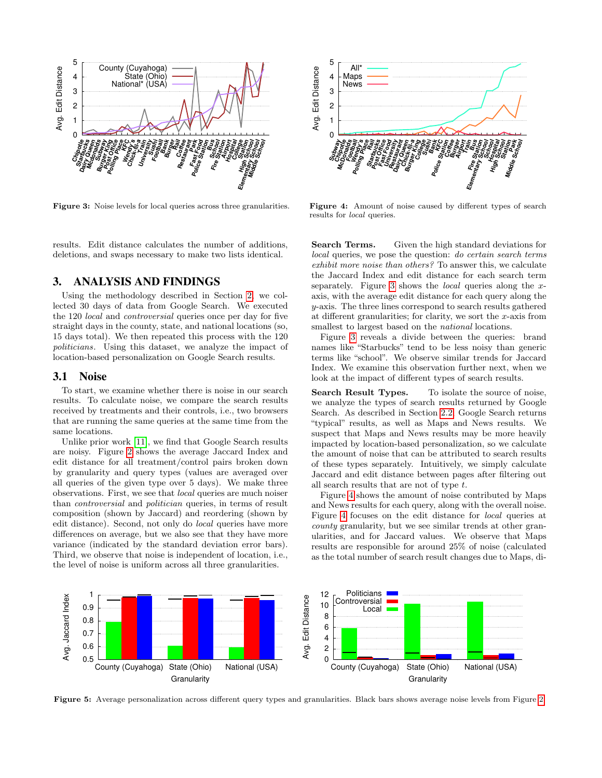<span id="page-3-1"></span>

Figure 3: Noise levels for local queries across three granularities.

results. Edit distance calculates the number of additions, deletions, and swaps necessary to make two lists identical.

## <span id="page-3-0"></span>3. ANALYSIS AND FINDINGS

Using the methodology described in Section [2,](#page-1-0) we collected 30 days of data from Google Search. We executed the 120 local and controversial queries once per day for five straight days in the county, state, and national locations (so, 15 days total). We then repeated this process with the 120 politicians. Using this dataset, we analyze the impact of location-based personalization on Google Search results.

#### 3.1 Noise

To start, we examine whether there is noise in our search results. To calculate noise, we compare the search results received by treatments and their controls, i.e., two browsers that are running the same queries at the same time from the same locations.

Unlike prior work [\[11\]](#page-6-6), we find that Google Search results are noisy. Figure [2](#page-2-0) shows the average Jaccard Index and edit distance for all treatment/control pairs broken down by granularity and query types (values are averaged over all queries of the given type over 5 days). We make three observations. First, we see that local queries are much noiser than controversial and politician queries, in terms of result composition (shown by Jaccard) and reordering (shown by edit distance). Second, not only do local queries have more differences on average, but we also see that they have more variance (indicated by the standard deviation error bars). Third, we observe that noise is independent of location, i.e., the level of noise is uniform across all three granularities.



Figure 4: Amount of noise caused by different types of search results for local queries.

Search Terms. Given the high standard deviations for local queries, we pose the question: do certain search terms exhibit more noise than others? To answer this, we calculate the Jaccard Index and edit distance for each search term separately. Figure [3](#page-3-1) shows the *local* queries along the  $x$ axis, with the average edit distance for each query along the y-axis. The three lines correspond to search results gathered at different granularities; for clarity, we sort the  $x$ -axis from smallest to largest based on the *national* locations.

Figure [3](#page-3-1) reveals a divide between the queries: brand names like "Starbucks" tend to be less noisy than generic terms like "school". We observe similar trends for Jaccard Index. We examine this observation further next, when we look at the impact of different types of search results.

Search Result Types. To isolate the source of noise. we analyze the types of search results returned by Google Search. As described in Section [2.2,](#page-2-1) Google Search returns "typical" results, as well as Maps and News results. We suspect that Maps and News results may be more heavily impacted by location-based personalization, so we calculate the amount of noise that can be attributed to search results of these types separately. Intuitively, we simply calculate Jaccard and edit distance between pages after filtering out all search results that are not of type t.

Figure [4](#page-3-1) shows the amount of noise contributed by Maps and News results for each query, along with the overall noise. Figure [4](#page-3-1) focuses on the edit distance for local queries at county granularity, but we see similar trends at other granularities, and for Jaccard values. We observe that Maps results are responsible for around 25% of noise (calculated as the total number of search result changes due to Maps, di-

<span id="page-3-2"></span>

Figure 5: Average personalization across different query types and granularities. Black bars shows average noise levels from Figure [2.](#page-2-0)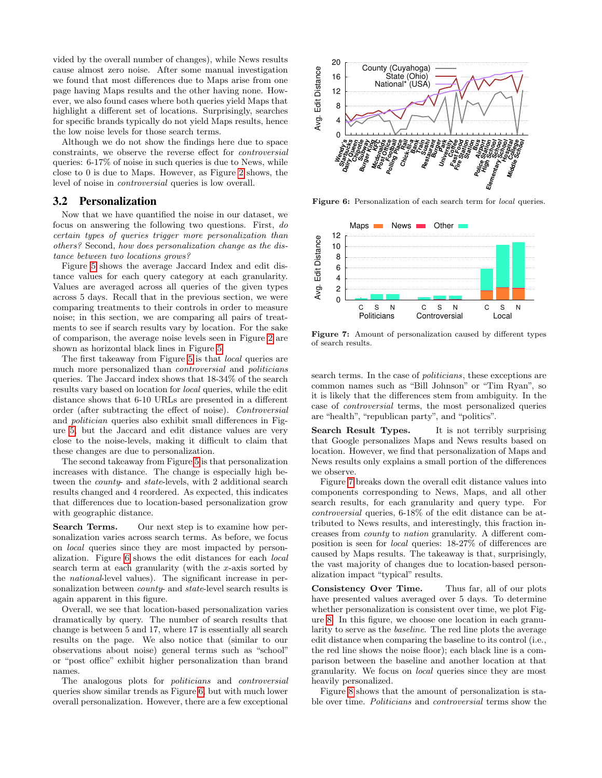vided by the overall number of changes), while News results cause almost zero noise. After some manual investigation we found that most differences due to Maps arise from one page having Maps results and the other having none. However, we also found cases where both queries yield Maps that highlight a different set of locations. Surprisingly, searches for specific brands typically do not yield Maps results, hence the low noise levels for those search terms.

Although we do not show the findings here due to space constraints, we observe the reverse effect for controversial queries: 6-17% of noise in such queries is due to News, while close to 0 is due to Maps. However, as Figure [2](#page-2-0) shows, the level of noise in controversial queries is low overall.

#### 3.2 Personalization

Now that we have quantified the noise in our dataset, we focus on answering the following two questions. First, do certain types of queries trigger more personalization than others? Second, how does personalization change as the distance between two locations grows?

Figure [5](#page-3-2) shows the average Jaccard Index and edit distance values for each query category at each granularity. Values are averaged across all queries of the given types across 5 days. Recall that in the previous section, we were comparing treatments to their controls in order to measure noise; in this section, we are comparing all pairs of treatments to see if search results vary by location. For the sake of comparison, the average noise levels seen in Figure [2](#page-2-0) are shown as horizontal black lines in Figure [5.](#page-3-2)

The first takeaway from Figure [5](#page-3-2) is that local queries are much more personalized than controversial and politicians queries. The Jaccard index shows that 18-34% of the search results vary based on location for local queries, while the edit distance shows that 6-10 URLs are presented in a different order (after subtracting the effect of noise). Controversial and politician queries also exhibit small differences in Figure [5,](#page-3-2) but the Jaccard and edit distance values are very close to the noise-levels, making it difficult to claim that these changes are due to personalization.

The second takeaway from Figure [5](#page-3-2) is that personalization increases with distance. The change is especially high between the county- and state-levels, with 2 additional search results changed and 4 reordered. As expected, this indicates that differences due to location-based personalization grow with geographic distance.

Search Terms. Our next step is to examine how personalization varies across search terms. As before, we focus on local queries since they are most impacted by personalization. Figure [6](#page-4-0) shows the edit distances for each local search term at each granularity (with the  $x$ -axis sorted by the national-level values). The significant increase in personalization between *county*- and *state*-level search results is again apparent in this figure.

Overall, we see that location-based personalization varies dramatically by query. The number of search results that change is between 5 and 17, where 17 is essentially all search results on the page. We also notice that (similar to our observations about noise) general terms such as "school" or "post office" exhibit higher personalization than brand names.

The analogous plots for politicians and controversial queries show similar trends as Figure [6,](#page-4-0) but with much lower overall personalization. However, there are a few exceptional

<span id="page-4-0"></span>

Figure 6: Personalization of each search term for *local* queries.

<span id="page-4-1"></span>

Figure 7: Amount of personalization caused by different types of search results.

search terms. In the case of *politicians*, these exceptions are common names such as "Bill Johnson" or "Tim Ryan", so it is likely that the differences stem from ambiguity. In the case of controversial terms, the most personalized queries are "health", "republican party", and "politics".

Search Result Types. It is not terribly surprising that Google personalizes Maps and News results based on location. However, we find that personalization of Maps and News results only explains a small portion of the differences we observe.

Figure [7](#page-4-1) breaks down the overall edit distance values into components corresponding to News, Maps, and all other search results, for each granularity and query type. For controversial queries, 6-18% of the edit distance can be attributed to News results, and interestingly, this fraction increases from county to nation granularity. A different composition is seen for local queries: 18-27% of differences are caused by Maps results. The takeaway is that, surprisingly, the vast majority of changes due to location-based personalization impact "typical" results.

Consistency Over Time. Thus far, all of our plots have presented values averaged over 5 days. To determine whether personalization is consistent over time, we plot Figure [8.](#page-5-2) In this figure, we choose one location in each granularity to serve as the baseline. The red line plots the average edit distance when comparing the baseline to its control (i.e., the red line shows the noise floor); each black line is a comparison between the baseline and another location at that granularity. We focus on local queries since they are most heavily personalized.

Figure [8](#page-5-2) shows that the amount of personalization is stable over time. Politicians and controversial terms show the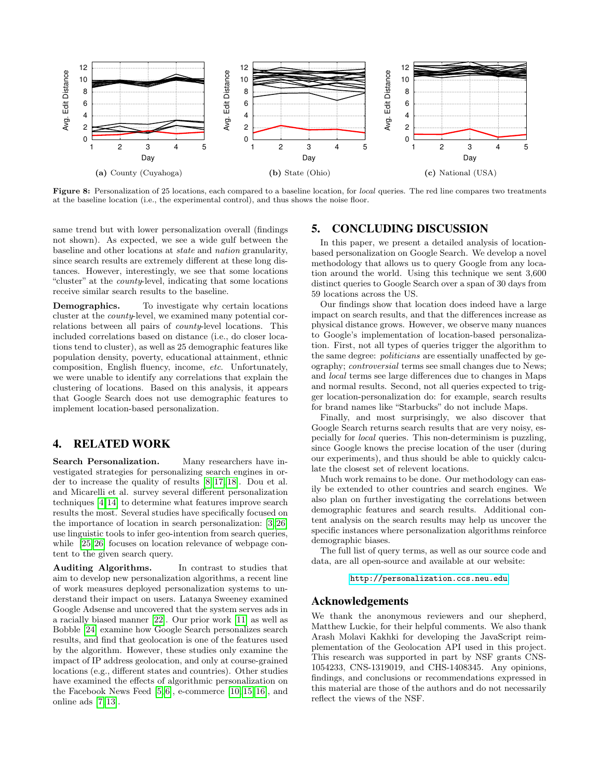<span id="page-5-2"></span>

Figure 8: Personalization of 25 locations, each compared to a baseline location, for *local* queries. The red line compares two treatments at the baseline location (i.e., the experimental control), and thus shows the noise floor.

same trend but with lower personalization overall (findings not shown). As expected, we see a wide gulf between the baseline and other locations at state and nation granularity, since search results are extremely different at these long distances. However, interestingly, we see that some locations "cluster" at the county-level, indicating that some locations receive similar search results to the baseline.

**Demographics.** To investigate why certain locations cluster at the county-level, we examined many potential correlations between all pairs of county-level locations. This included correlations based on distance (i.e., do closer locations tend to cluster), as well as 25 demographic features like population density, poverty, educational attainment, ethnic composition, English fluency, income, etc. Unfortunately, we were unable to identify any correlations that explain the clustering of locations. Based on this analysis, it appears that Google Search does not use demographic features to implement location-based personalization.

## <span id="page-5-0"></span>4. RELATED WORK

Search Personalization. Many researchers have investigated strategies for personalizing search engines in order to increase the quality of results [\[8,](#page-6-10) [17,](#page-6-11) [18\]](#page-6-12). Dou et al. and Micarelli et al. survey several different personalization techniques [\[4,](#page-6-13)[14\]](#page-6-14) to determine what features improve search results the most. Several studies have specifically focused on the importance of location in search personalization: [\[3,](#page-6-15) [26\]](#page-6-16) use linguistic tools to infer geo-intention from search queries, while [\[25,](#page-6-17) [26\]](#page-6-16) focuses on location relevance of webpage content to the given search query.

Auditing Algorithms. In contrast to studies that aim to develop new personalization algorithms, a recent line of work measures deployed personalization systems to understand their impact on users. Latanya Sweeney examined Google Adsense and uncovered that the system serves ads in a racially biased manner [\[22\]](#page-6-18). Our prior work [\[11\]](#page-6-6) as well as Bobble [\[24\]](#page-6-19) examine how Google Search personalizes search results, and find that geolocation is one of the features used by the algorithm. However, these studies only examine the impact of IP address geolocation, and only at course-grained locations (e.g., different states and countries). Other studies have examined the effects of algorithmic personalization on the Facebook News Feed [\[5,](#page-6-20) [6\]](#page-6-21), e-commerce [\[10,](#page-6-8) [15,](#page-6-22) [16\]](#page-6-23), and online ads [\[7,](#page-6-24) [13\]](#page-6-25).

#### <span id="page-5-1"></span>5. CONCLUDING DISCUSSION

In this paper, we present a detailed analysis of locationbased personalization on Google Search. We develop a novel methodology that allows us to query Google from any location around the world. Using this technique we sent 3,600 distinct queries to Google Search over a span of 30 days from 59 locations across the US.

Our findings show that location does indeed have a large impact on search results, and that the differences increase as physical distance grows. However, we observe many nuances to Google's implementation of location-based personalization. First, not all types of queries trigger the algorithm to the same degree: politicians are essentially unaffected by geography; controversial terms see small changes due to News; and local terms see large differences due to changes in Maps and normal results. Second, not all queries expected to trigger location-personalization do: for example, search results for brand names like "Starbucks" do not include Maps.

Finally, and most surprisingly, we also discover that Google Search returns search results that are very noisy, especially for local queries. This non-determinism is puzzling, since Google knows the precise location of the user (during our experiments), and thus should be able to quickly calculate the closest set of relevent locations.

Much work remains to be done. Our methodology can easily be extended to other countries and search engines. We also plan on further investigating the correlations between demographic features and search results. Additional content analysis on the search results may help us uncover the specific instances where personalization algorithms reinforce demographic biases.

The full list of query terms, as well as our source code and data, are all open-source and available at our website:

#### <http://personalization.ccs.neu.edu>

#### Acknowledgements

We thank the anonymous reviewers and our shepherd, Matthew Luckie, for their helpful comments. We also thank Arash Molavi Kakhki for developing the JavaScript reimplementation of the Geolocation API used in this project. This research was supported in part by NSF grants CNS-1054233, CNS-1319019, and CHS-1408345. Any opinions, findings, and conclusions or recommendations expressed in this material are those of the authors and do not necessarily reflect the views of the NSF.